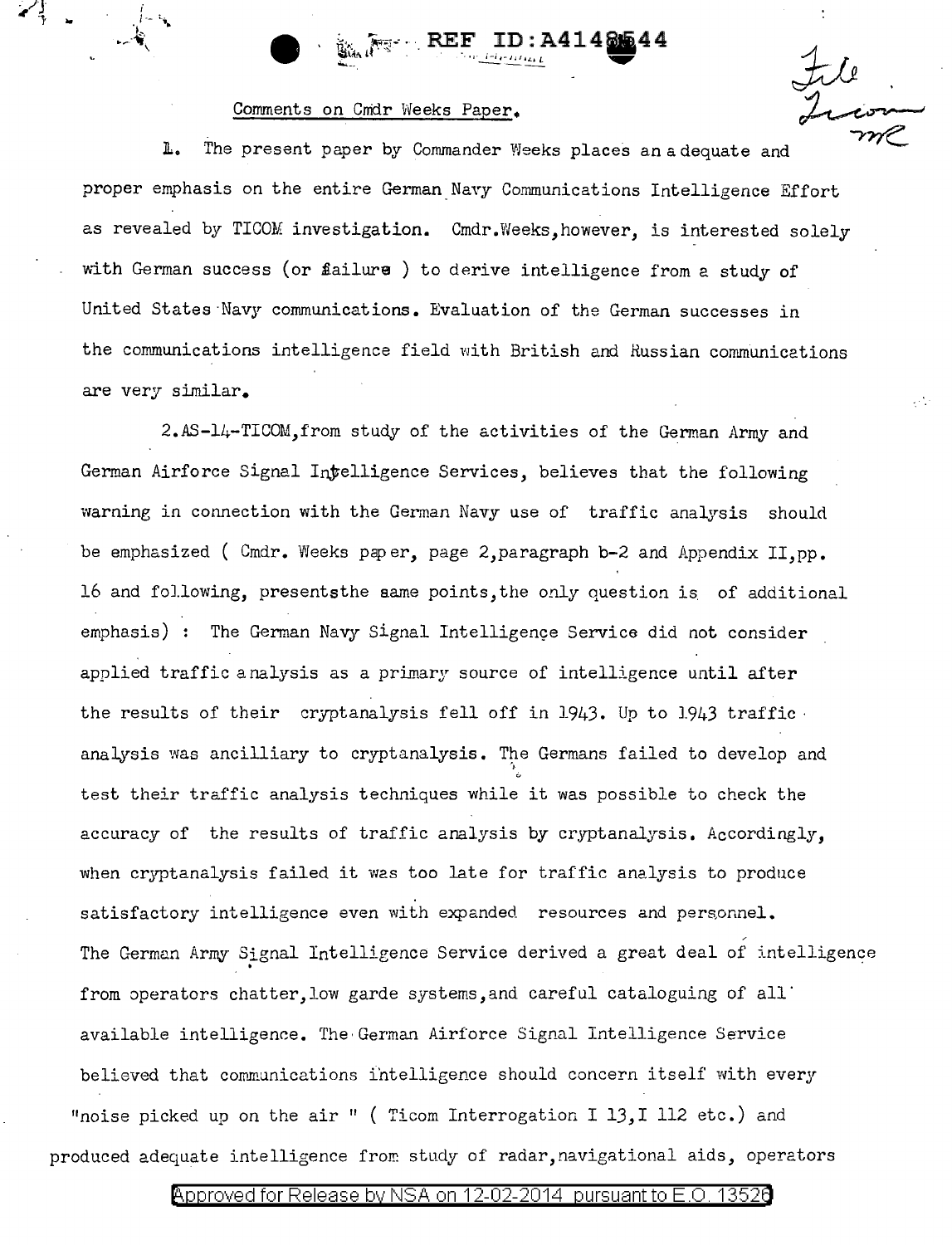

## Comments on Cnidr Weeks Paper.

 $\mathcal{L}$  ,  $\mathcal{L}$ 

 $l - \frac{1}{2}$ 

**JL.** The present paper by Commander Weeks places an adequate and proper emphasis on the entire German Navy Communications Intelligence Effort as revealed by TICOM investigation. Cmdr.Weeks,however, is interested solely with German success (or failure ) to derive intelligence from a study of United States Navy communications. Evaluation of the German successes in the communications intelligence field with British and Russian communications are very similar.

2.AS-14-TICOM,from study of the activities of the German Army and German Airforce Signal Intelligence Services, believes that the following warning in connection with the German Navy use of traffic analysis should be emphasized ( Cmdr. Weeks paper, page 2, paragraph b-2 and Appendix II, pp. 16 and following, presentsthe aame points, the only question is. of additional emphasis) : The German Navy Signal Intelligence Service did not consider applied traffic analysis as a primary source of intelligence until after the results of their cryptanalysis fell off in 1943. Up to 1943 traffic· analysis was ancilliary to cryptanalysis. The Germans failed to develop and  $\frac{1}{2}$ test their traffic analysis techniques while it was possible to check the accuracy of the results of traffic analysis by cryptanalysis. Accordingly, when cryptanalysis failed it was too late for traffic analysis to produce satisfactory intelligence even with expanded resources and personnel. The German Army Signal Intelligence Service derived a great deal of intelligence from operators chatter, low garde systems, and careful cataloguing of all available intelligence. The· German Airforce Signal Intelligence Service believed that communications intelligence should concern itself with every "noise picked up on the air " ( Ticom Interrogation I 13, I 112 etc.) and produced adequate intelligence from study of radar, navigational aids, operators

## @'pproved for Release by NSA on 12-02-2014 pursuantto E.O. 1352a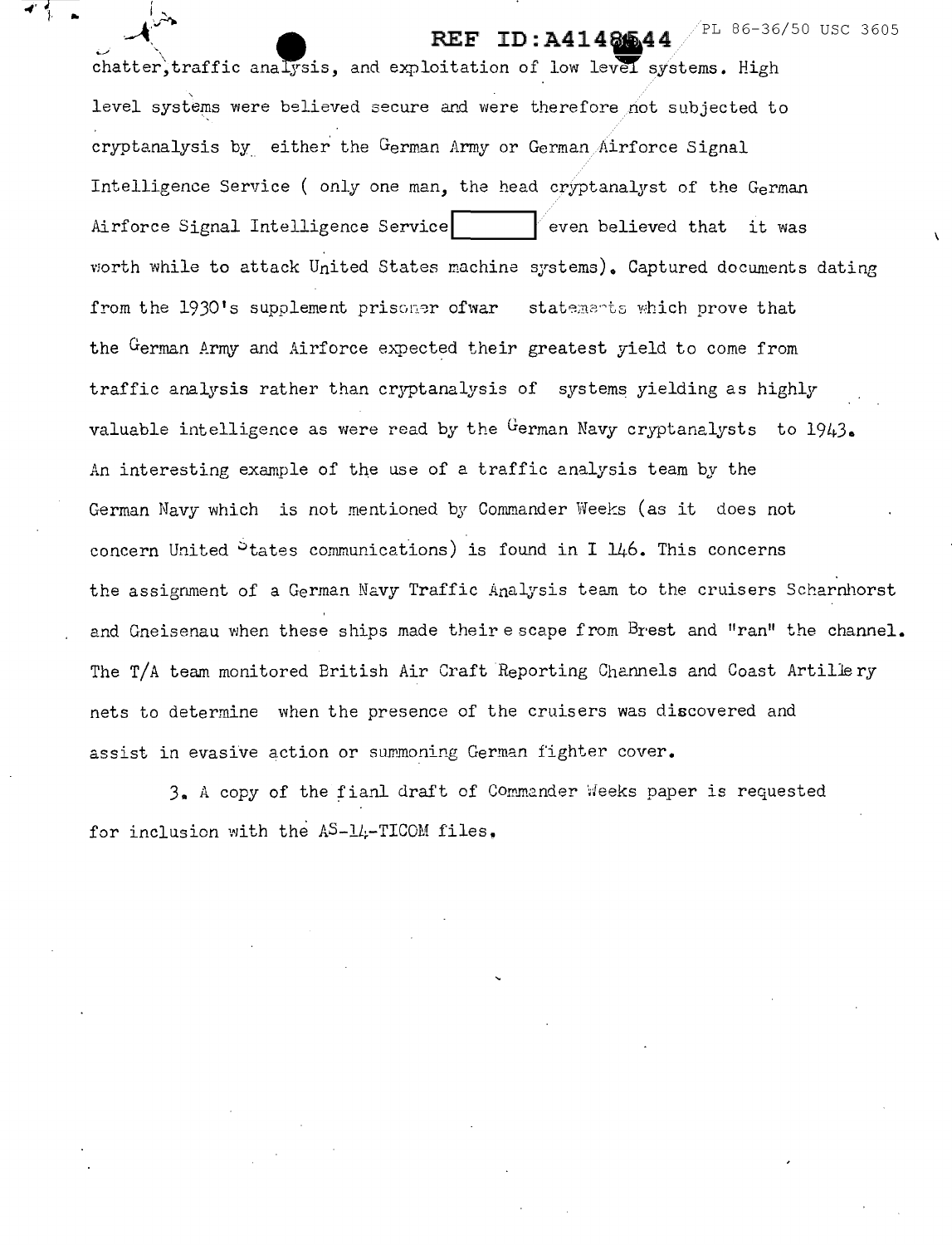PL 86-36/50 USC 3605

chatter, traffic analysis, and exploitation of low level systems. High level systems were believed secure and were therefore not subjected to cryptanalysis by either the German Army or German Airforce Signal Intelligence Service ( only one man, the head cryptanalyst of the German Airforce Signal Intelligence Service  $|$  even believed that it was worth while to attack United States machine systems). Captured documents dating from the 1930's supplement prisoner ofwar statements which prove that the German Army and Airforce expected their greatest yield to come from traffic analysis rather than cryptanalysis of systems yielding as highly valuable intelligence as were read by the  $G$ erman Navy cryptanalysts to  $1943$ . An interesting example of the use of a traffic analysis team by the German Navy which is not mentioned by Commander Weeks (as it does not concern United  $\sigma$  tates communications) is found in I  $\mu/6$ . This concerns the assignment of a German Navy Traffic Analysis team to the cruisers Scharnhorst and Gneisenau when these ships made their escape from Brest and "ran" the channel. The T/A team monitored British Air Craft Reporting Channels and Coast Artillery nets to determine when the presence of the cruisers was discovered and assist in evasive action or summoning German fighter cover.

**REF ID: A4148644** 

 $\zeta$  $\sim$ 

3. A copy of the fianl draft of Comm2nder 'deeks paper is requested for inclusion with the  $AS-1L-TLCOM$  files.